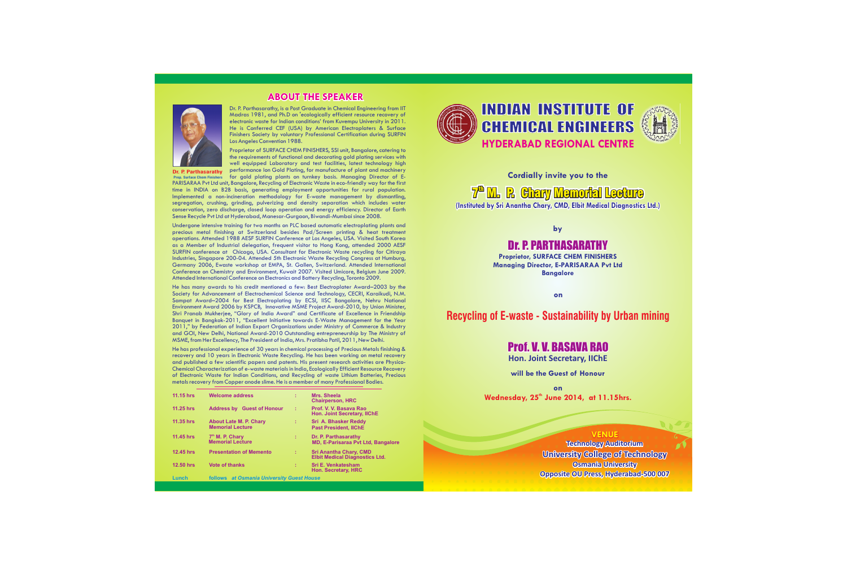### **ABOUT THE SPEAKER**



Dr. P. Parthasarathy, is a Post Graduate in Chemical Engineering from IIT Madras 1981, and Ph.D on 'ecologically efficient resource recovery of electronic waste for Indian conditions' from Kuvempu University in 2011. He is Conferred CEF (USA) by American Electroplaters & Surface Finishers Society by voluntary Professional Certification during SURFIN Los Angeles Convention 1988.

Proprietor of SURFACE CHEM FINISHERS, SSI unit, Bangalore, catering to the requirements of functional and decorating gold plating services with well equipped Laboratory and test facilities, latest technology high performance Ion Gold Plating, for manufacture of plant and machinery

**Dr. P. Parthasarathy Prop. Surface Chem Finishers**

for gold plating plants on turnkey basis. Managing Director of E-PARISARAA Pvt Ltd unit, Bangalore, Recycling of Electronic Waste in eco-friendly way for the first time in INDIA on B2B basis, generating employment opportunities for rural population. Implemented a non-incineration methodology for E-waste management by dismantling, segregation, crushing, grinding, pulverizing and density separation which includes water conservation, zero discharge, closed loop operation and energy efficiency. Director of Earth Sense Recycle Pvt Ltd at Hyderabad, Manesar-Gurgaon, Biwandi-Mumbai since 2008.

Undergone intensive training for two months on PLC based automatic electroplating plants and precious metal finishing at Switzerland besides Pad/Screen printing & heat treatment operations. Attended 1988 AESF SURFIN Conference at Los Angeles, USA. Visited South Korea as a Member of Industrial delegation, frequent visitor to Hong Kong, attended 2000 AESF SURFIN conference at Chicago, USA. Consultant for Electronic Waste recycling for Citiraya Industries, Singapore 200-04. Attended 5th Electronic Waste Recycling Congress at Humburg, Germany 2006, Ewaste workshop at EMPA, St. Gallen, Switzerland. Attended International Conference on Chemistry and Environment, Kuwait 2007. Visited Umicore, Belgium June 2009. Attended International Conference on Electronics and Battery Recycling, Toronto 2009.

He has many awards to his credit mentioned a few: Best Electroplater Award–2003 by the Society for Advancement of Electrochemical Science and Technology, CECRI, Karaikudi, N.M. Sampat Award–2004 for Best Electroplating by ECSI, IISC Bangalore, Nehru National Environment Award 2006 by KSPCB, Innovative MSME Project Award-2010, by Union Minister, Shri Pranab Mukherjee, "Glory of India Award" and Certificate of Excellence in Friendship Banquet in Bangkok-2011, "Excellent Initiative towards E-Waste Management for the Year 2011," by Federation of Indian Export Organizations under Ministry of Commerce & Industry and GOI, New Delhi, National Award-2010 Outstanding entrepreneurship by The Ministry of MSME, from Her Excellency, The President of India, Mrs. Pratibha Patil, 2011, New Delhi.

He has professional experience of 30 years in chemical processing of Precious Metals finishing & recovery and 10 years in Electronic Waste Recycling. He has been working on metal recovery and published a few scientific papers and patents. His present research activities are Physico-Chemical Characterization of e-waste materials in India, Ecologically Efficient Resource Recovery of Electronic Waste for Indian Conditions, and Recycling of waste Lithium Batteries, Precious metals recovery from Copper anode slime. He is a member of many Professional Bodies.

| 11.15 hrs | <b>Welcome address</b>                                   | ÷ | Mrs. Sheela<br><b>Chairperson, HRC</b>                                 |
|-----------|----------------------------------------------------------|---|------------------------------------------------------------------------|
| 11.25 hrs | <b>Address by Guest of Honour</b>                        | ÷ | Prof. V. V. Basaya Rao<br><b>Hon. Joint Secretary, IIChE</b>           |
| 11.35 hrs | <b>About Late M. P. Chary</b><br><b>Memorial Lecture</b> | ÷ | Sri A. Bhasker Reddy<br><b>Past President, IIChE</b>                   |
| 11.45 hrs | $7th$ M. P. Chary<br><b>Memorial Lecture</b>             | ÷ | Dr. P. Parthasarathy<br><b>MD, E-Parisaraa Pvt Ltd, Bangalore</b>      |
| 12.45 hrs | <b>Presentation of Memento</b>                           | ÷ | <b>Sri Anantha Chary, CMD</b><br><b>Elbit Medical Diagnostics Ltd.</b> |
| 12.50 hrs | <b>Vote of thanks</b>                                    | ÷ | <b>Sri E. Venkatesham</b><br><b>Hon. Secretary, HRC</b>                |
| Lunch     | follows at Osmania University Guest House                |   |                                                                        |



# **HYDERABAD REGIONAL CENTRE** INDIAN INSTITUTE OF CHEMICAL ENGINEERS



**Cordially invite you to the**

**7<sup>th</sup> M. P. Chary Memorial Lecture** 

**(Instituted by Sri Anantha Chary, CMD, Elbit Medical Diagnostics Ltd.)** 

**by** 

## Dr. P. PARTHASARATHY

**Proprietor, SURFACE CHEM FINISHERS Managing Director, E-PARISARAA Pvt Ltd Bangalore**

 **on**

**Recycling of E-waste - Sustainability by Urban mining**

## Prof. V. V. BASAVA RAO

**Hon. Joint Secretary, IIChE**

**will be the Guest of Honour**

**on Wednesday, th 25 June 2014, at 11.15hrs.**

#### **VENUE**

**Technology Auditorium Osmania University Opposite OU Press, Hyderabad-500 007 University College of Technology**